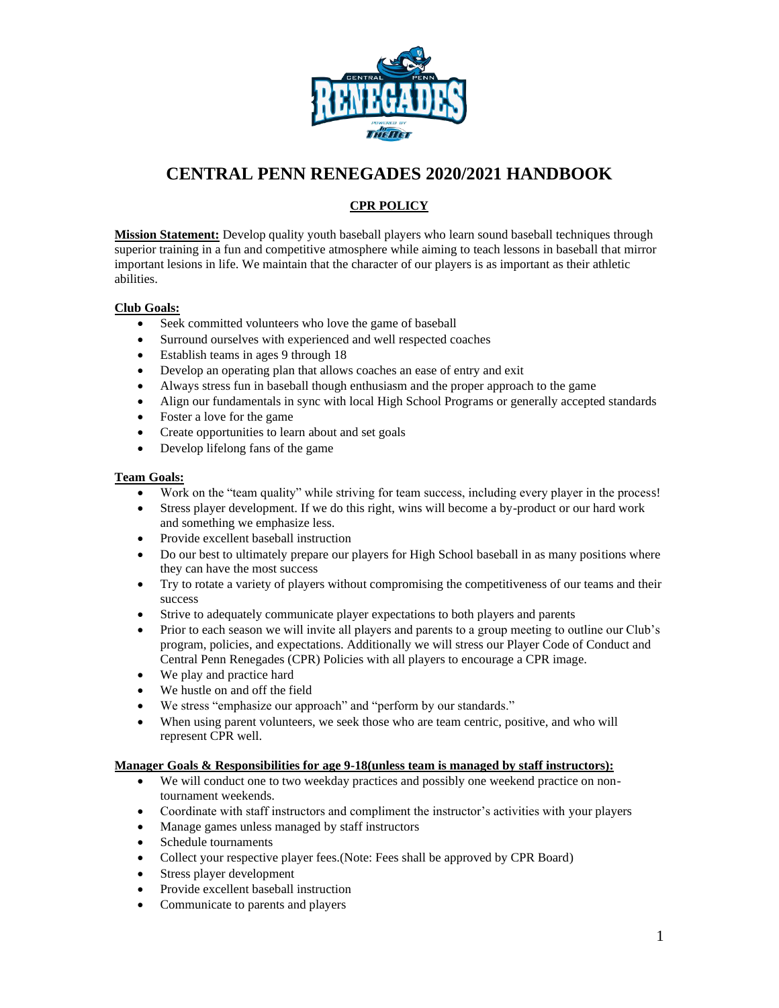

## **CENTRAL PENN RENEGADES 2020/2021 HANDBOOK**

### **CPR POLICY**

**Mission Statement:** Develop quality youth baseball players who learn sound baseball techniques through superior training in a fun and competitive atmosphere while aiming to teach lessons in baseball that mirror important lesions in life. We maintain that the character of our players is as important as their athletic abilities.

#### **Club Goals:**

- Seek committed volunteers who love the game of baseball
- Surround ourselves with experienced and well respected coaches
- Establish teams in ages 9 through 18
- Develop an operating plan that allows coaches an ease of entry and exit
- Always stress fun in baseball though enthusiasm and the proper approach to the game
- Align our fundamentals in sync with local High School Programs or generally accepted standards
- Foster a love for the game
- Create opportunities to learn about and set goals
- Develop lifelong fans of the game

#### **Team Goals:**

- Work on the "team quality" while striving for team success, including every player in the process!
- Stress player development. If we do this right, wins will become a by-product or our hard work and something we emphasize less.
- Provide excellent baseball instruction
- Do our best to ultimately prepare our players for High School baseball in as many positions where they can have the most success
- Try to rotate a variety of players without compromising the competitiveness of our teams and their success
- Strive to adequately communicate player expectations to both players and parents
- Prior to each season we will invite all players and parents to a group meeting to outline our Club's program, policies, and expectations. Additionally we will stress our Player Code of Conduct and Central Penn Renegades (CPR) Policies with all players to encourage a CPR image.
- We play and practice hard
- We hustle on and off the field
- We stress "emphasize our approach" and "perform by our standards."
- When using parent volunteers, we seek those who are team centric, positive, and who will represent CPR well.

#### **Manager Goals & Responsibilities for age 9-18(unless team is managed by staff instructors):**

- We will conduct one to two weekday practices and possibly one weekend practice on nontournament weekends.
- Coordinate with staff instructors and compliment the instructor's activities with your players
- Manage games unless managed by staff instructors
- Schedule tournaments
- Collect your respective player fees.(Note: Fees shall be approved by CPR Board)
- Stress player development
- Provide excellent baseball instruction
- Communicate to parents and players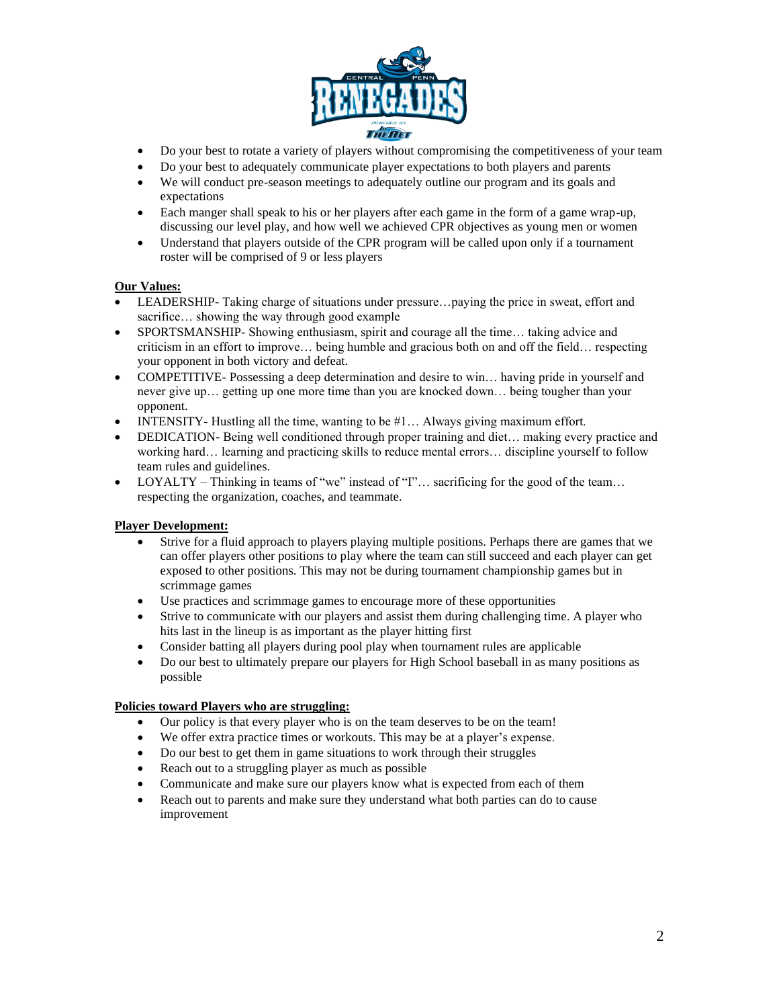

- Do your best to rotate a variety of players without compromising the competitiveness of your team
- Do your best to adequately communicate player expectations to both players and parents
- We will conduct pre-season meetings to adequately outline our program and its goals and expectations
- Each manger shall speak to his or her players after each game in the form of a game wrap-up, discussing our level play, and how well we achieved CPR objectives as young men or women
- Understand that players outside of the CPR program will be called upon only if a tournament roster will be comprised of 9 or less players

#### **Our Values:**

- LEADERSHIP-Taking charge of situations under pressure...paying the price in sweat, effort and sacrifice… showing the way through good example
- SPORTSMANSHIP- Showing enthusiasm, spirit and courage all the time… taking advice and criticism in an effort to improve… being humble and gracious both on and off the field… respecting your opponent in both victory and defeat.
- COMPETITIVE-Possessing a deep determination and desire to win... having pride in yourself and never give up… getting up one more time than you are knocked down… being tougher than your opponent.
- INTENSITY- Hustling all the time, wanting to be  $#1...$  Always giving maximum effort.
- DEDICATION- Being well conditioned through proper training and diet... making every practice and working hard… learning and practicing skills to reduce mental errors… discipline yourself to follow team rules and guidelines.
- LOYALTY Thinking in teams of "we" instead of "I"… sacrificing for the good of the team… respecting the organization, coaches, and teammate.

#### **Player Development:**

- Strive for a fluid approach to players playing multiple positions. Perhaps there are games that we can offer players other positions to play where the team can still succeed and each player can get exposed to other positions. This may not be during tournament championship games but in scrimmage games
- Use practices and scrimmage games to encourage more of these opportunities
- Strive to communicate with our players and assist them during challenging time. A player who hits last in the lineup is as important as the player hitting first
- Consider batting all players during pool play when tournament rules are applicable
- Do our best to ultimately prepare our players for High School baseball in as many positions as possible

#### **Policies toward Players who are struggling:**

- Our policy is that every player who is on the team deserves to be on the team!
- We offer extra practice times or workouts. This may be at a player's expense.
- Do our best to get them in game situations to work through their struggles
- Reach out to a struggling player as much as possible
- Communicate and make sure our players know what is expected from each of them
- Reach out to parents and make sure they understand what both parties can do to cause improvement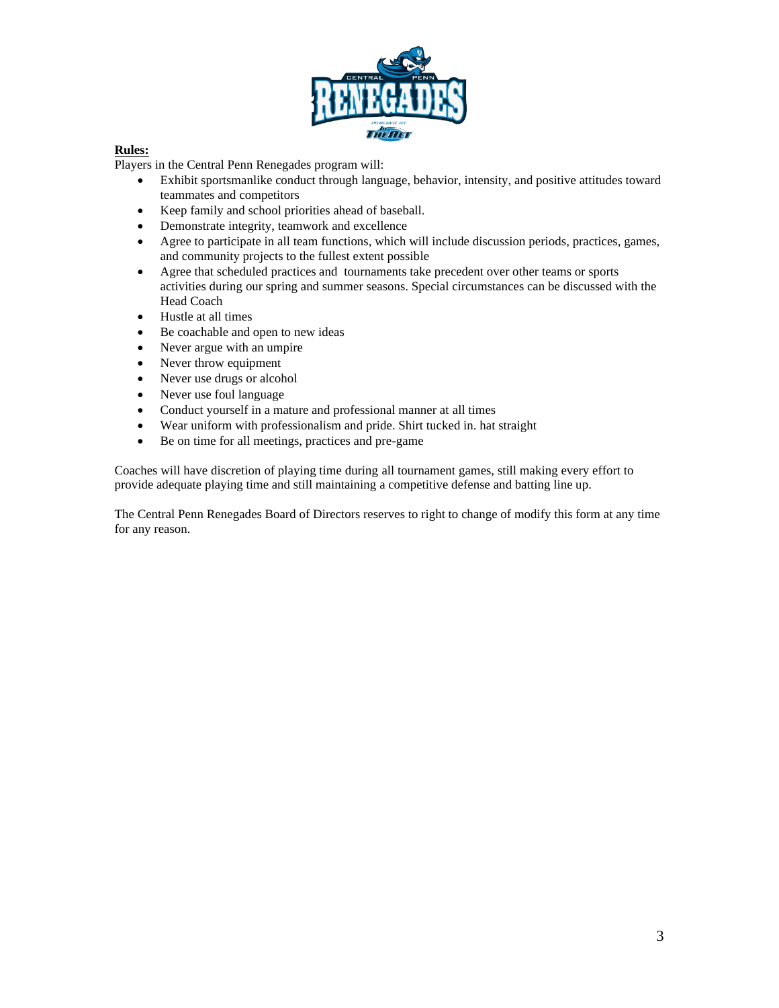

#### **Rules:**

Players in the Central Penn Renegades program will:

- Exhibit sportsmanlike conduct through language, behavior, intensity, and positive attitudes toward teammates and competitors
- Keep family and school priorities ahead of baseball.
- Demonstrate integrity, teamwork and excellence
- Agree to participate in all team functions, which will include discussion periods, practices, games, and community projects to the fullest extent possible
- Agree that scheduled practices and tournaments take precedent over other teams or sports activities during our spring and summer seasons. Special circumstances can be discussed with the Head Coach
- Hustle at all times
- Be coachable and open to new ideas
- Never argue with an umpire
- Never throw equipment
- Never use drugs or alcohol
- Never use foul language
- Conduct yourself in a mature and professional manner at all times
- Wear uniform with professionalism and pride. Shirt tucked in. hat straight
- Be on time for all meetings, practices and pre-game

Coaches will have discretion of playing time during all tournament games, still making every effort to provide adequate playing time and still maintaining a competitive defense and batting line up.

The Central Penn Renegades Board of Directors reserves to right to change of modify this form at any time for any reason.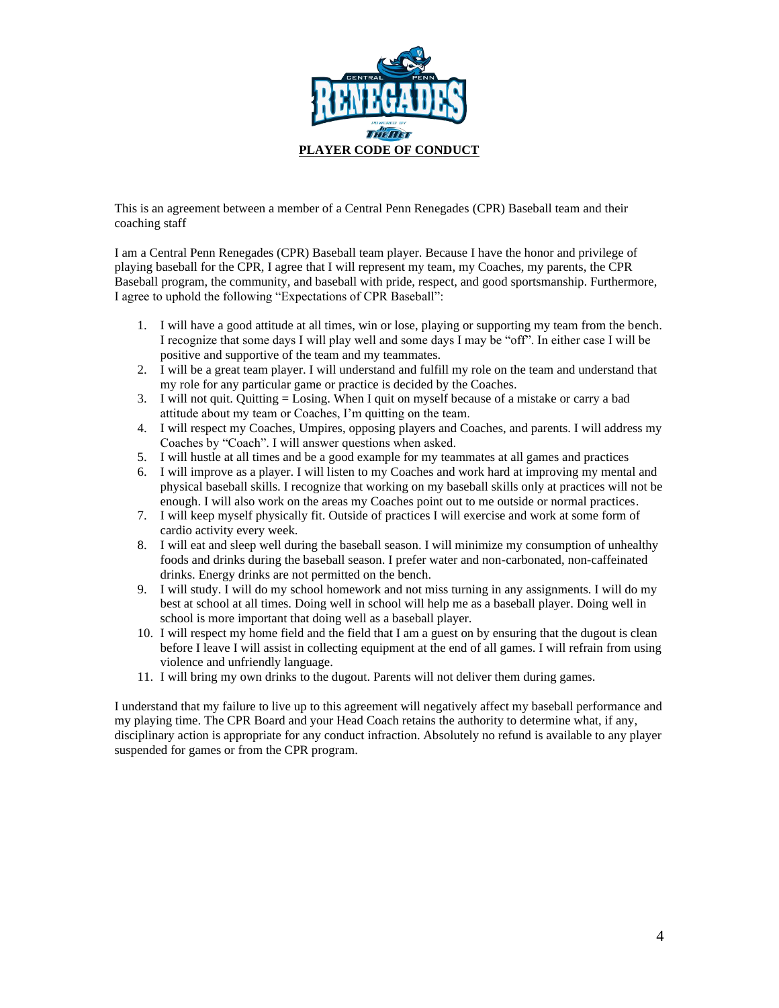

This is an agreement between a member of a Central Penn Renegades (CPR) Baseball team and their coaching staff

I am a Central Penn Renegades (CPR) Baseball team player. Because I have the honor and privilege of playing baseball for the CPR, I agree that I will represent my team, my Coaches, my parents, the CPR Baseball program, the community, and baseball with pride, respect, and good sportsmanship. Furthermore, I agree to uphold the following "Expectations of CPR Baseball":

- 1. I will have a good attitude at all times, win or lose, playing or supporting my team from the bench. I recognize that some days I will play well and some days I may be "off". In either case I will be positive and supportive of the team and my teammates.
- 2. I will be a great team player. I will understand and fulfill my role on the team and understand that my role for any particular game or practice is decided by the Coaches.
- 3. I will not quit. Quitting = Losing. When I quit on myself because of a mistake or carry a bad attitude about my team or Coaches, I'm quitting on the team.
- 4. I will respect my Coaches, Umpires, opposing players and Coaches, and parents. I will address my Coaches by "Coach". I will answer questions when asked.
- 5. I will hustle at all times and be a good example for my teammates at all games and practices
- 6. I will improve as a player. I will listen to my Coaches and work hard at improving my mental and physical baseball skills. I recognize that working on my baseball skills only at practices will not be enough. I will also work on the areas my Coaches point out to me outside or normal practices.
- 7. I will keep myself physically fit. Outside of practices I will exercise and work at some form of cardio activity every week.
- 8. I will eat and sleep well during the baseball season. I will minimize my consumption of unhealthy foods and drinks during the baseball season. I prefer water and non-carbonated, non-caffeinated drinks. Energy drinks are not permitted on the bench.
- 9. I will study. I will do my school homework and not miss turning in any assignments. I will do my best at school at all times. Doing well in school will help me as a baseball player. Doing well in school is more important that doing well as a baseball player.
- 10. I will respect my home field and the field that I am a guest on by ensuring that the dugout is clean before I leave I will assist in collecting equipment at the end of all games. I will refrain from using violence and unfriendly language.
- 11. I will bring my own drinks to the dugout. Parents will not deliver them during games.

I understand that my failure to live up to this agreement will negatively affect my baseball performance and my playing time. The CPR Board and your Head Coach retains the authority to determine what, if any, disciplinary action is appropriate for any conduct infraction. Absolutely no refund is available to any player suspended for games or from the CPR program.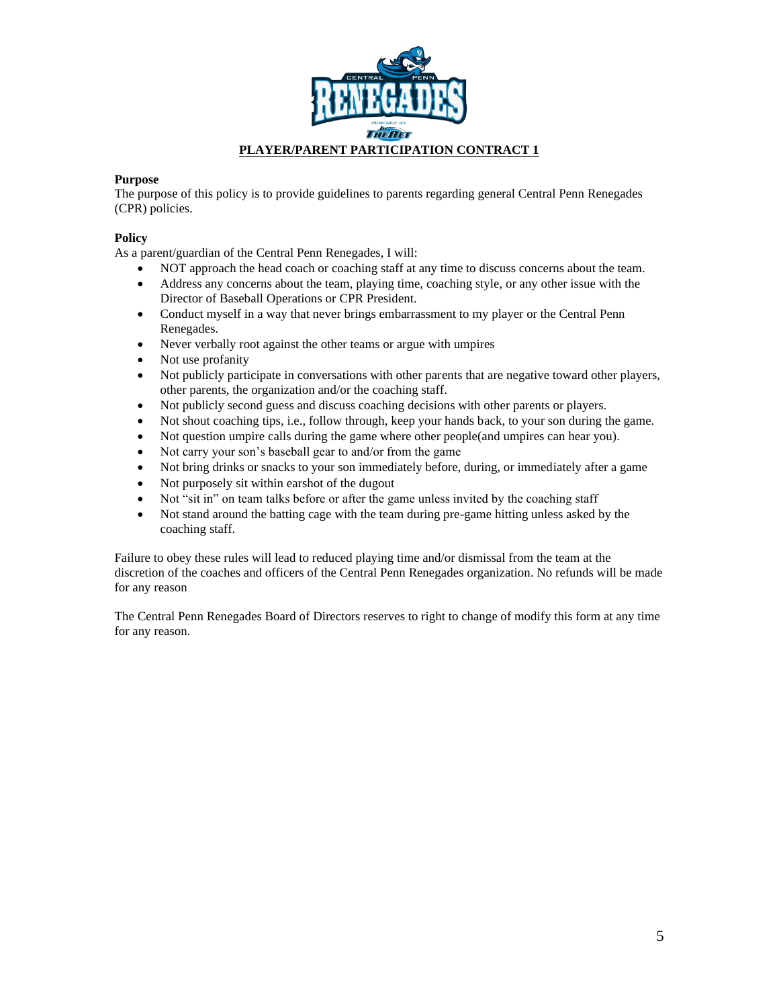

#### **Purpose**

The purpose of this policy is to provide guidelines to parents regarding general Central Penn Renegades (CPR) policies.

#### **Policy**

As a parent/guardian of the Central Penn Renegades, I will:

- NOT approach the head coach or coaching staff at any time to discuss concerns about the team.
- Address any concerns about the team, playing time, coaching style, or any other issue with the Director of Baseball Operations or CPR President.
- Conduct myself in a way that never brings embarrassment to my player or the Central Penn Renegades.
- Never verbally root against the other teams or argue with umpires
- Not use profanity
- Not publicly participate in conversations with other parents that are negative toward other players, other parents, the organization and/or the coaching staff.
- Not publicly second guess and discuss coaching decisions with other parents or players.
- Not shout coaching tips, i.e., follow through, keep your hands back, to your son during the game.
- Not question umpire calls during the game where other people(and umpires can hear you).
- Not carry your son's baseball gear to and/or from the game
- Not bring drinks or snacks to your son immediately before, during, or immediately after a game
- Not purposely sit within earshot of the dugout
- Not "sit in" on team talks before or after the game unless invited by the coaching staff
- Not stand around the batting cage with the team during pre-game hitting unless asked by the coaching staff.

Failure to obey these rules will lead to reduced playing time and/or dismissal from the team at the discretion of the coaches and officers of the Central Penn Renegades organization. No refunds will be made for any reason

The Central Penn Renegades Board of Directors reserves to right to change of modify this form at any time for any reason.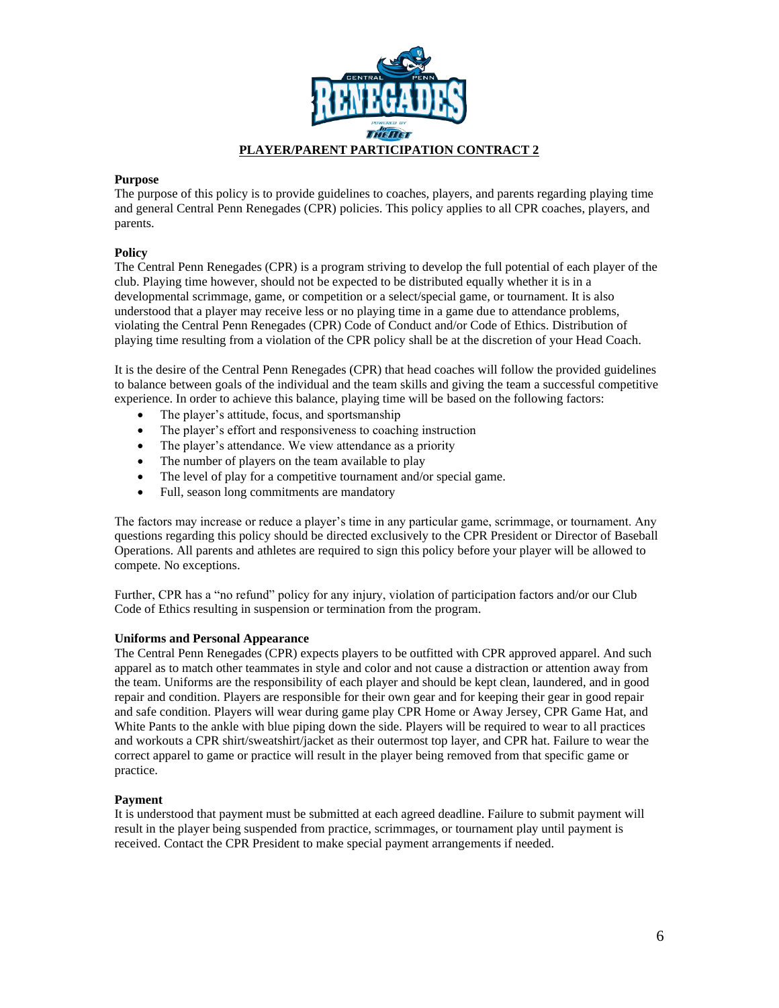

#### **Purpose**

The purpose of this policy is to provide guidelines to coaches, players, and parents regarding playing time and general Central Penn Renegades (CPR) policies. This policy applies to all CPR coaches, players, and parents.

#### **Policy**

The Central Penn Renegades (CPR) is a program striving to develop the full potential of each player of the club. Playing time however, should not be expected to be distributed equally whether it is in a developmental scrimmage, game, or competition or a select/special game, or tournament. It is also understood that a player may receive less or no playing time in a game due to attendance problems, violating the Central Penn Renegades (CPR) Code of Conduct and/or Code of Ethics. Distribution of playing time resulting from a violation of the CPR policy shall be at the discretion of your Head Coach.

It is the desire of the Central Penn Renegades (CPR) that head coaches will follow the provided guidelines to balance between goals of the individual and the team skills and giving the team a successful competitive experience. In order to achieve this balance, playing time will be based on the following factors:

- The player's attitude, focus, and sportsmanship
- The player's effort and responsiveness to coaching instruction
- The player's attendance. We view attendance as a priority
- The number of players on the team available to play
- The level of play for a competitive tournament and/or special game.
- Full, season long commitments are mandatory

The factors may increase or reduce a player's time in any particular game, scrimmage, or tournament. Any questions regarding this policy should be directed exclusively to the CPR President or Director of Baseball Operations. All parents and athletes are required to sign this policy before your player will be allowed to compete. No exceptions.

Further, CPR has a "no refund" policy for any injury, violation of participation factors and/or our Club Code of Ethics resulting in suspension or termination from the program.

#### **Uniforms and Personal Appearance**

The Central Penn Renegades (CPR) expects players to be outfitted with CPR approved apparel. And such apparel as to match other teammates in style and color and not cause a distraction or attention away from the team. Uniforms are the responsibility of each player and should be kept clean, laundered, and in good repair and condition. Players are responsible for their own gear and for keeping their gear in good repair and safe condition. Players will wear during game play CPR Home or Away Jersey, CPR Game Hat, and White Pants to the ankle with blue piping down the side. Players will be required to wear to all practices and workouts a CPR shirt/sweatshirt/jacket as their outermost top layer, and CPR hat. Failure to wear the correct apparel to game or practice will result in the player being removed from that specific game or practice.

#### **Payment**

It is understood that payment must be submitted at each agreed deadline. Failure to submit payment will result in the player being suspended from practice, scrimmages, or tournament play until payment is received. Contact the CPR President to make special payment arrangements if needed.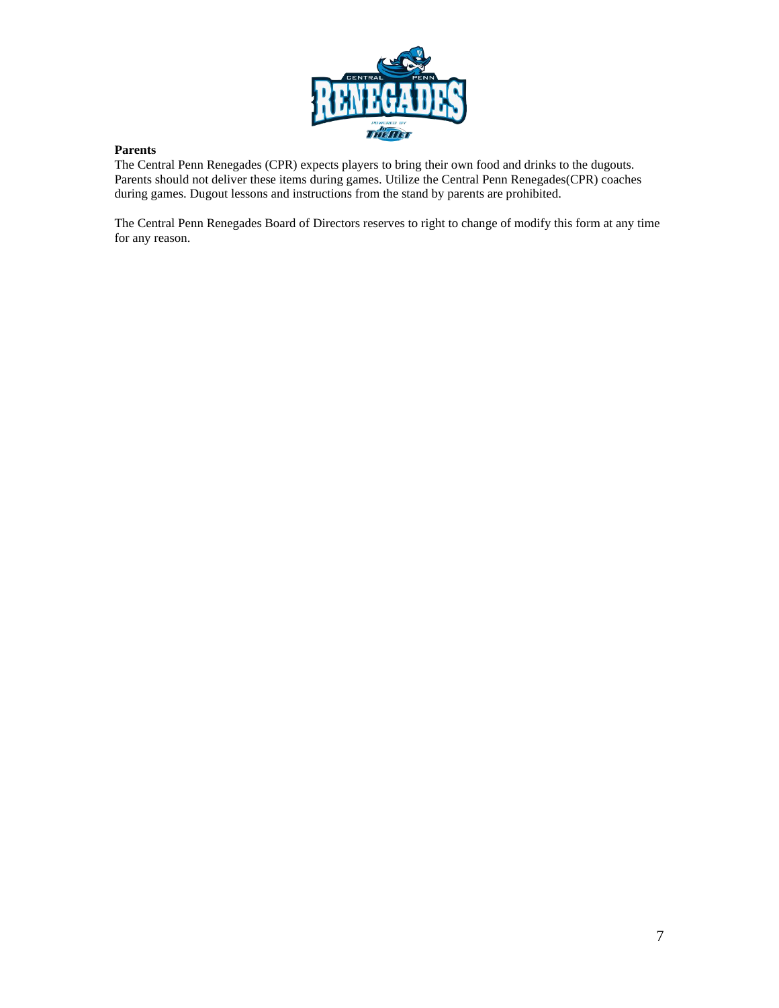

#### **Parents**

The Central Penn Renegades (CPR) expects players to bring their own food and drinks to the dugouts. Parents should not deliver these items during games. Utilize the Central Penn Renegades(CPR) coaches during games. Dugout lessons and instructions from the stand by parents are prohibited.

The Central Penn Renegades Board of Directors reserves to right to change of modify this form at any time for any reason.